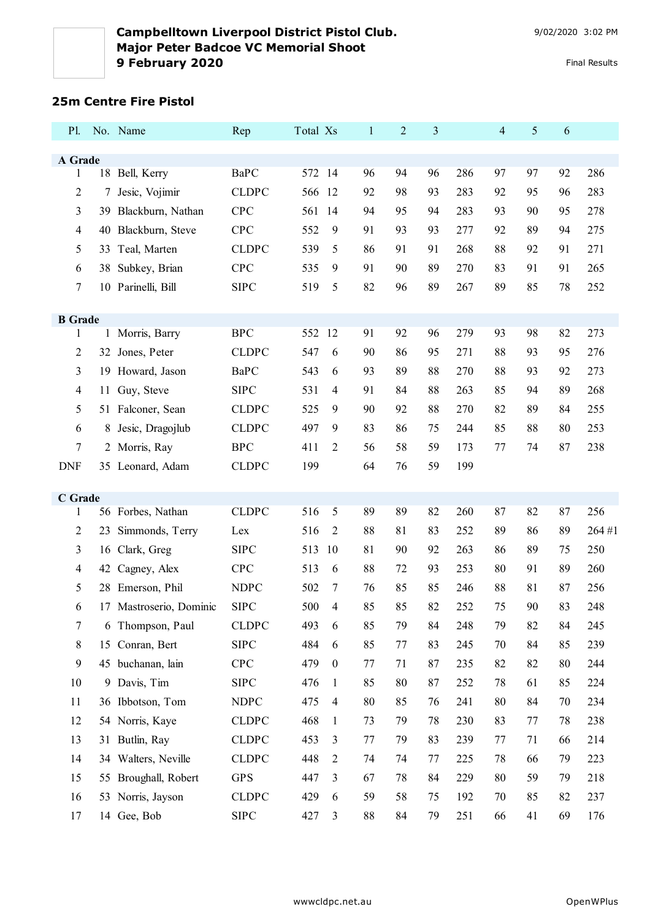## **25m Centre Fire Pistol**

| P1.                 |     | No. Name                | Rep          | Total Xs |                  | $\mathbf{1}$ | 2  | 3  |     | $\overline{4}$ | 5  | 6  |       |
|---------------------|-----|-------------------------|--------------|----------|------------------|--------------|----|----|-----|----------------|----|----|-------|
|                     |     |                         |              |          |                  |              |    |    |     |                |    |    |       |
| A Grade<br>1        | 18  | Bell, Kerry             | <b>BaPC</b>  | 572 14   |                  | 96           | 94 | 96 | 286 | 97             | 97 | 92 | 286   |
| $\overline{2}$      | 7   | Jesic, Vojimir          | <b>CLDPC</b> | 566 12   |                  | 92           | 98 | 93 | 283 | 92             | 95 | 96 | 283   |
| 3                   | 39. | Blackburn, Nathan       | CPC          | 561 14   |                  | 94           | 95 | 94 | 283 | 93             | 90 | 95 | 278   |
| $\overline{4}$      | 40  | Blackburn, Steve        | <b>CPC</b>   | 552      | 9                | 91           | 93 | 93 | 277 | 92             | 89 | 94 | 275   |
| 5                   | 33  | Teal, Marten            | <b>CLDPC</b> | 539      | 5                | 86           | 91 | 91 | 268 | 88             | 92 | 91 | 271   |
| 6                   | 38  | Subkey, Brian           | CPC          | 535      | 9                | 91           | 90 | 89 | 270 | 83             | 91 | 91 | 265   |
| 7                   |     | 10 Parinelli, Bill      | <b>SIPC</b>  | 519      | 5                | 82           | 96 | 89 | 267 | 89             | 85 | 78 | 252   |
|                     |     |                         |              |          |                  |              |    |    |     |                |    |    |       |
| <b>B</b> Grade<br>1 |     | 1 Morris, Barry         | <b>BPC</b>   | 552 12   |                  | 91           | 92 | 96 | 279 | 93             | 98 | 82 | 273   |
| 2                   |     | 32 Jones, Peter         | <b>CLDPC</b> | 547      | 6                | 90           | 86 | 95 | 271 | 88             | 93 | 95 | 276   |
| 3                   |     | 19 Howard, Jason        | <b>BaPC</b>  | 543      | 6                | 93           | 89 | 88 | 270 | 88             | 93 | 92 | 273   |
| 4                   | 11  | Guy, Steve              | <b>SIPC</b>  | 531      | 4                | 91           | 84 | 88 | 263 | 85             | 94 | 89 | 268   |
| 5                   |     | 51 Falconer, Sean       | <b>CLDPC</b> | 525      | 9                | 90           | 92 | 88 | 270 | 82             | 89 | 84 | 255   |
| 6                   |     | 8 Jesic, Dragojlub      | <b>CLDPC</b> | 497      | 9                | 83           | 86 | 75 | 244 | 85             | 88 | 80 | 253   |
| 7                   |     | 2 Morris, Ray           | <b>BPC</b>   | 411      | 2                | 56           | 58 | 59 | 173 | 77             | 74 | 87 | 238   |
| <b>DNF</b>          |     | 35 Leonard, Adam        | <b>CLDPC</b> | 199      |                  | 64           | 76 | 59 | 199 |                |    |    |       |
|                     |     |                         |              |          |                  |              |    |    |     |                |    |    |       |
| C Grade<br>1        |     | 56 Forbes, Nathan       | <b>CLDPC</b> | 516      | 5                | 89           | 89 | 82 | 260 | 87             | 82 | 87 | 256   |
| $\overline{2}$      | 23  | Simmonds, Terry         | Lex          | 516      | 2                | 88           | 81 | 83 | 252 | 89             | 86 | 89 | 264#1 |
| 3                   |     | 16 Clark, Greg          | <b>SIPC</b>  | 513      | 10               | 81           | 90 | 92 | 263 | 86             | 89 | 75 | 250   |
| 4                   |     | 42 Cagney, Alex         | <b>CPC</b>   | 513      | 6                | 88           | 72 | 93 | 253 | 80             | 91 | 89 | 260   |
| 5                   | 28  | Emerson, Phil           | <b>NDPC</b>  | 502      | 7                | 76           | 85 | 85 | 246 | 88             | 81 | 87 | 256   |
| 6                   |     | 17 Mastroserio, Dominic | <b>SIPC</b>  | 500      | 4                | 85           | 85 | 82 | 252 | 75             | 90 | 83 | 248   |
| $\tau$              |     | 6 Thompson, Paul        | <b>CLDPC</b> | 493      | 6                | 85           | 79 | 84 | 248 | 79             | 82 | 84 | 245   |
| 8                   |     | 15 Conran, Bert         | <b>SIPC</b>  | 484      | 6                | 85           | 77 | 83 | 245 | 70             | 84 | 85 | 239   |
| 9                   |     | 45 buchanan, lain       | <b>CPC</b>   | 479      | $\boldsymbol{0}$ | 77           | 71 | 87 | 235 | 82             | 82 | 80 | 244   |
| 10                  | 9   | Davis, Tim              | <b>SIPC</b>  | 476      | $\mathbf{1}$     | 85           | 80 | 87 | 252 | 78             | 61 | 85 | 224   |
| 11                  |     | 36 Ibbotson, Tom        | <b>NDPC</b>  | 475      | $\overline{4}$   | 80           | 85 | 76 | 241 | 80             | 84 | 70 | 234   |
| 12                  |     | 54 Norris, Kaye         | <b>CLDPC</b> | 468      | $\mathbf{1}$     | 73           | 79 | 78 | 230 | 83             | 77 | 78 | 238   |
| 13                  | 31  | Butlin, Ray             | <b>CLDPC</b> | 453      | 3                | 77           | 79 | 83 | 239 | 77             | 71 | 66 | 214   |
| 14                  |     | 34 Walters, Neville     | <b>CLDPC</b> | 448      | $\overline{2}$   | 74           | 74 | 77 | 225 | 78             | 66 | 79 | 223   |
| 15                  |     | 55 Broughall, Robert    | <b>GPS</b>   | 447      | 3                | 67           | 78 | 84 | 229 | 80             | 59 | 79 | 218   |
| 16                  |     | 53 Norris, Jayson       | <b>CLDPC</b> | 429      | 6                | 59           | 58 | 75 | 192 | 70             | 85 | 82 | 237   |
| 17                  |     | 14 Gee, Bob             | ${\rm SIPC}$ | 427      | 3                | 88           | 84 | 79 | 251 | 66             | 41 | 69 | 176   |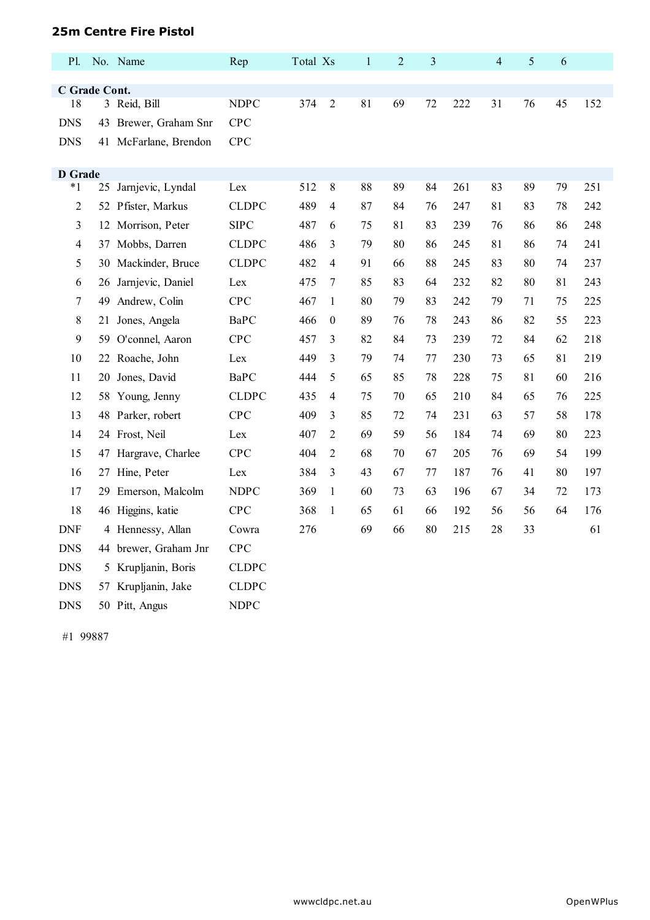## **25m Centre Fire Pistol**

| P1.                 |    | No. Name              | Rep          | Total Xs |                  | $\mathbf{1}$ | $\overline{2}$ | 3  |     | $\overline{4}$ | 5  | 6  |     |
|---------------------|----|-----------------------|--------------|----------|------------------|--------------|----------------|----|-----|----------------|----|----|-----|
|                     |    |                       |              |          |                  |              |                |    |     |                |    |    |     |
| C Grade Cont.<br>18 |    | 3 Reid, Bill          | <b>NDPC</b>  | 374      | $\overline{2}$   | 81           | 69             | 72 | 222 | 31             | 76 | 45 | 152 |
| <b>DNS</b>          |    | 43 Brewer, Graham Snr | <b>CPC</b>   |          |                  |              |                |    |     |                |    |    |     |
| <b>DNS</b>          |    | 41 McFarlane, Brendon | <b>CPC</b>   |          |                  |              |                |    |     |                |    |    |     |
|                     |    |                       |              |          |                  |              |                |    |     |                |    |    |     |
| <b>D</b> Grade      |    |                       |              |          |                  |              |                |    |     |                |    |    |     |
| $*_{1}$             | 25 | Jarnjevic, Lyndal     | Lex          | 512      | $\,$ 8 $\,$      | 88           | 89             | 84 | 261 | 83             | 89 | 79 | 251 |
| $\sqrt{2}$          |    | 52 Pfister, Markus    | <b>CLDPC</b> | 489      | $\overline{4}$   | 87           | 84             | 76 | 247 | 81             | 83 | 78 | 242 |
| $\mathfrak{Z}$      | 12 | Morrison, Peter       | <b>SIPC</b>  | 487      | 6                | 75           | 81             | 83 | 239 | 76             | 86 | 86 | 248 |
| $\overline{4}$      |    | 37 Mobbs, Darren      | <b>CLDPC</b> | 486      | $\overline{3}$   | 79           | 80             | 86 | 245 | 81             | 86 | 74 | 241 |
| 5                   |    | 30 Mackinder, Bruce   | <b>CLDPC</b> | 482      | $\overline{4}$   | 91           | 66             | 88 | 245 | 83             | 80 | 74 | 237 |
| 6                   |    | 26 Jarnjevic, Daniel  | Lex          | 475      | $\tau$           | 85           | 83             | 64 | 232 | 82             | 80 | 81 | 243 |
| $\tau$              | 49 | Andrew, Colin         | <b>CPC</b>   | 467      | 1                | 80           | 79             | 83 | 242 | 79             | 71 | 75 | 225 |
| $8\,$               | 21 | Jones, Angela         | <b>BaPC</b>  | 466      | $\boldsymbol{0}$ | 89           | 76             | 78 | 243 | 86             | 82 | 55 | 223 |
| 9                   |    | 59 O'connel, Aaron    | <b>CPC</b>   | 457      | $\overline{3}$   | 82           | 84             | 73 | 239 | 72             | 84 | 62 | 218 |
| 10                  |    | 22 Roache, John       | Lex          | 449      | $\overline{3}$   | 79           | 74             | 77 | 230 | 73             | 65 | 81 | 219 |
| 11                  | 20 | Jones, David          | <b>BaPC</b>  | 444      | 5                | 65           | 85             | 78 | 228 | 75             | 81 | 60 | 216 |
| 12                  |    | 58 Young, Jenny       | <b>CLDPC</b> | 435      | $\overline{4}$   | 75           | 70             | 65 | 210 | 84             | 65 | 76 | 225 |
| 13                  |    | 48 Parker, robert     | <b>CPC</b>   | 409      | $\overline{3}$   | 85           | 72             | 74 | 231 | 63             | 57 | 58 | 178 |
| 14                  |    | 24 Frost, Neil        | Lex          | 407      | $\overline{2}$   | 69           | 59             | 56 | 184 | 74             | 69 | 80 | 223 |
| 15                  | 47 | Hargrave, Charlee     | <b>CPC</b>   | 404      | $\overline{2}$   | 68           | 70             | 67 | 205 | 76             | 69 | 54 | 199 |
| 16                  |    | 27 Hine, Peter        | Lex          | 384      | $\mathfrak{Z}$   | 43           | 67             | 77 | 187 | 76             | 41 | 80 | 197 |
| 17                  |    | 29 Emerson, Malcolm   | <b>NDPC</b>  | 369      | $\mathbf{1}$     | 60           | 73             | 63 | 196 | 67             | 34 | 72 | 173 |
| 18                  |    | 46 Higgins, katie     | <b>CPC</b>   | 368      | $\mathbf{1}$     | 65           | 61             | 66 | 192 | 56             | 56 | 64 | 176 |
| <b>DNF</b>          |    | 4 Hennessy, Allan     | Cowra        | 276      |                  | 69           | 66             | 80 | 215 | 28             | 33 |    | 61  |
| <b>DNS</b>          |    | 44 brewer, Graham Jnr | CPC          |          |                  |              |                |    |     |                |    |    |     |
| <b>DNS</b>          |    | 5 Krupljanin, Boris   | <b>CLDPC</b> |          |                  |              |                |    |     |                |    |    |     |
| <b>DNS</b>          |    | 57 Krupljanin, Jake   | <b>CLDPC</b> |          |                  |              |                |    |     |                |    |    |     |
| <b>DNS</b>          |    | 50 Pitt, Angus        | <b>NDPC</b>  |          |                  |              |                |    |     |                |    |    |     |

#1 99887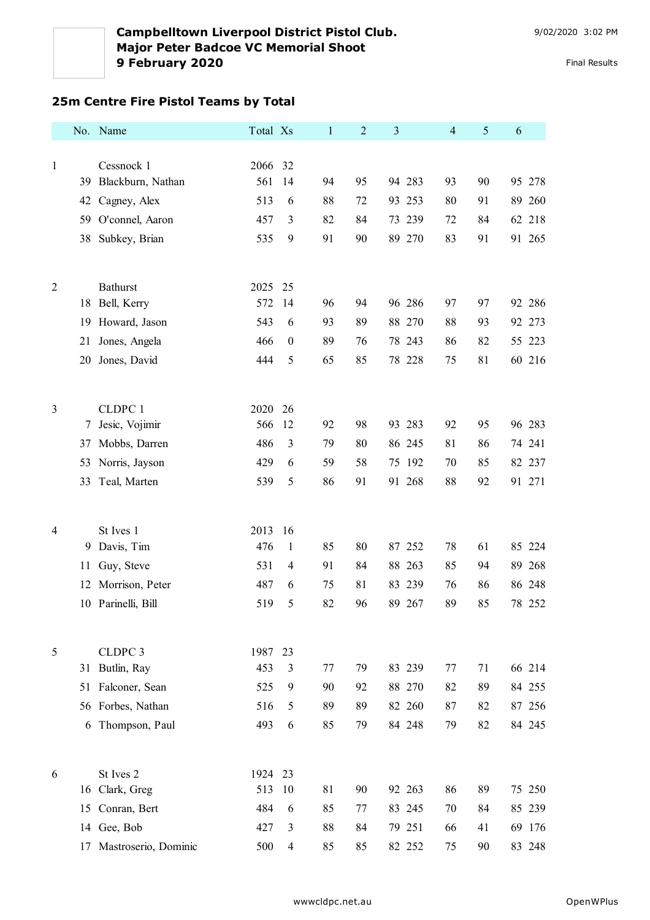## **25m Centre Fire Pistol Teams by Total**

|                |    | No. Name             | Total Xs |                  | $\mathbf{1}$ | $\overline{2}$ | 3      | $\overline{4}$ | $\mathfrak{S}$ | 6         |
|----------------|----|----------------------|----------|------------------|--------------|----------------|--------|----------------|----------------|-----------|
|                |    |                      |          |                  |              |                |        |                |                |           |
| $\mathbf{1}$   |    | Cessnock 1           | 2066     | 32               |              |                |        |                |                |           |
|                | 39 | Blackburn, Nathan    | 561      | 14               | 94           | 95             | 94 283 | 93             | 90             | 95 278    |
|                | 42 | Cagney, Alex         | 513      | 6                | 88           | 72             | 93 253 | 80             | 91             | 89 260    |
|                | 59 | O'connel, Aaron      | 457      | 3                | 82           | 84             | 73 239 | 72             | 84             | 62 218    |
|                | 38 | Subkey, Brian        | 535      | 9                | 91           | 90             | 89 270 | 83             | 91             | 91 265    |
|                |    |                      |          |                  |              |                |        |                |                |           |
| $\overline{2}$ |    | <b>Bathurst</b>      | 2025     | 25               |              |                |        |                |                |           |
|                | 18 | Bell, Kerry          | 572      | 14               | 96           | 94             | 96 286 | 97             | 97             | 92 286    |
|                | 19 | Howard, Jason        | 543      | 6                | 93           | 89             | 88 270 | 88             | 93             | 92<br>273 |
|                | 21 | Jones, Angela        | 466      | $\boldsymbol{0}$ | 89           | 76             | 78 243 | 86             | 82             | 55 223    |
|                | 20 | Jones, David         | 444      | 5                | 65           | 85             | 78 228 | 75             | 81             | 60 216    |
|                |    |                      |          |                  |              |                |        |                |                |           |
| 3              |    | CLDPC 1              | 2020     | 26               |              |                |        |                |                |           |
|                | 7  | Jesic, Vojimir       | 566      | 12               | 92           | 98             | 93 283 | 92             | 95             | 96 283    |
|                | 37 | Mobbs, Darren        | 486      | 3                | 79           | 80             | 86 245 | 81             | 86             | 74 241    |
|                | 53 | Norris, Jayson       | 429      | 6                | 59           | 58             | 75 192 | 70             | 85             | 82 237    |
|                | 33 | Teal, Marten         | 539      | 5                | 86           | 91             | 91 268 | 88             | 92             | 91 271    |
|                |    |                      |          |                  |              |                |        |                |                |           |
|                |    |                      |          |                  |              |                |        |                |                |           |
| $\overline{4}$ |    | St Ives 1            | 2013     | 16               |              |                |        |                |                |           |
|                | 9  | Davis, Tim           | 476      | $\mathbf{1}$     | 85           | 80             | 87 252 | 78             | 61             | 85 224    |
|                | 11 | Guy, Steve           | 531      | $\overline{4}$   | 91           | 84             | 88 263 | 85             | 94             | 89<br>268 |
|                | 12 | Morrison, Peter      | 487      | 6                | 75           | 81             | 83 239 | 76             | 86             | 86 248    |
|                | 10 | Parinelli, Bill      | 519      | 5                | 82           | 96             | 89 267 | 89             | 85             | 78 252    |
|                |    |                      |          |                  |              |                |        |                |                |           |
| 5              |    | CLDPC <sub>3</sub>   | 1987     | 23               |              |                |        |                |                |           |
|                | 31 | Butlin, Ray          | 453      | 3                | 77           | 79             | 83 239 | 77             | 71             | 66 214    |
|                | 51 | Falconer, Sean       | 525      | 9                | 90           | 92             | 88 270 | 82             | 89             | 84 255    |
|                |    | 56 Forbes, Nathan    | 516      | 5                | 89           | 89             | 82 260 | 87             | 82             | 87 256    |
|                | 6  | Thompson, Paul       | 493      | 6                | 85           | 79             | 84 248 | 79             | 82             | 84 245    |
|                |    |                      |          |                  |              |                |        |                |                |           |
| 6              |    | St Ives 2            | 1924     | 23               |              |                |        |                |                |           |
|                | 16 | Clark, Greg          | 513      | 10               | 81           | 90             | 92 263 | 86             | 89             | 75 250    |
|                | 15 | Conran, Bert         | 484      | 6                | 85           | 77             | 83 245 | 70             | 84             | 85 239    |
|                |    | 14 Gee, Bob          | 427      | 3                | 88           | 84             | 79 251 | 66             | 41             | 69 176    |
|                | 17 | Mastroserio, Dominic | 500      | $\overline{4}$   | 85           | 85             | 82 252 | 75             | 90             | 83 248    |